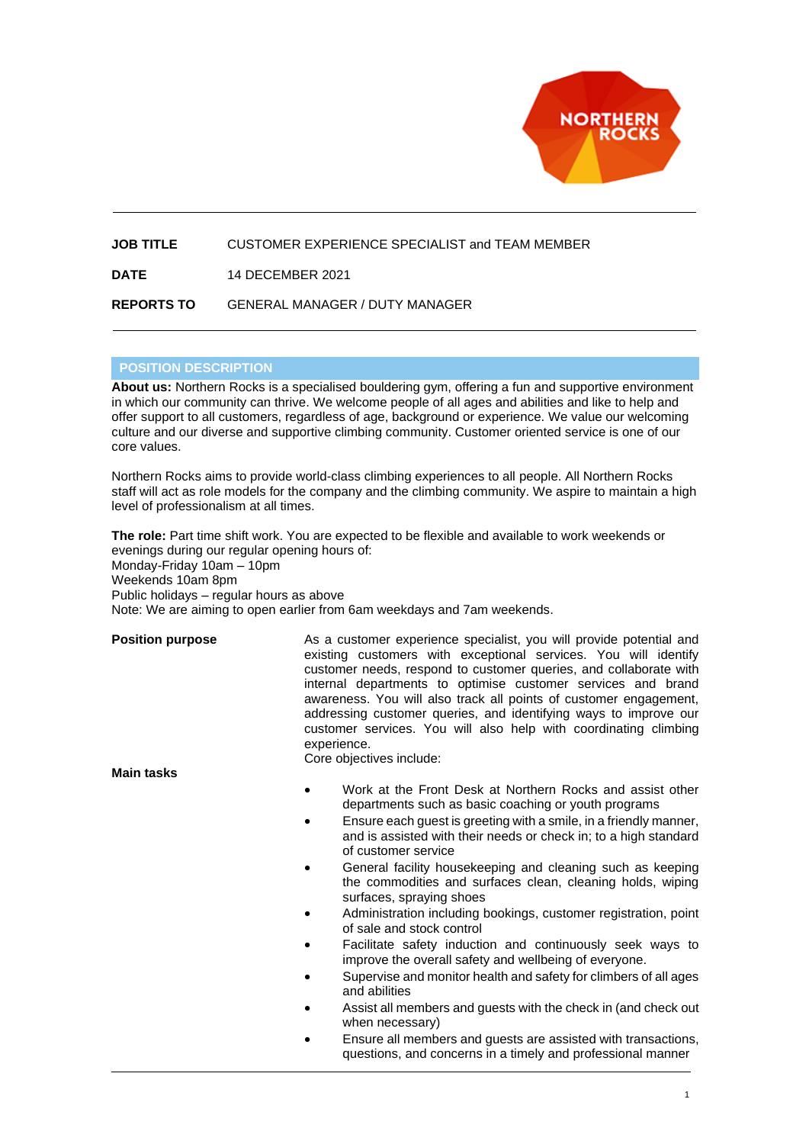

## **JOB TITLE** CUSTOMER EXPERIENCE SPECIALIST and TEAM MEMBER

**DATE** 14 DECEMBER 2021

## **REPORTS TO** GENERAL MANAGER / DUTY MANAGER

## **POSITION DESCRIPTION**

**About us:** Northern Rocks is a specialised bouldering gym, offering a fun and supportive environment in which our community can thrive. We welcome people of all ages and abilities and like to help and offer support to all customers, regardless of age, background or experience. We value our welcoming culture and our diverse and supportive climbing community. Customer oriented service is one of our core values.

Northern Rocks aims to provide world-class climbing experiences to all people. All Northern Rocks staff will act as role models for the company and the climbing community. We aspire to maintain a high level of professionalism at all times.

**The role:** Part time shift work. You are expected to be flexible and available to work weekends or evenings during our regular opening hours of: Monday-Friday 10am – 10pm Weekends 10am 8pm Public holidays – regular hours as above Note: We are aiming to open earlier from 6am weekdays and 7am weekends.

**Position purpose** As a customer experience specialist, you will provide potential and existing customers with exceptional services. You will identify customer needs, respond to customer queries, and collaborate with internal departments to optimise customer services and brand awareness. You will also track all points of customer engagement, addressing customer queries, and identifying ways to improve our customer services. You will also help with coordinating climbing experience.

**Main tasks**

- Core objectives include:
- Work at the Front Desk at Northern Rocks and assist other departments such as basic coaching or youth programs
- Ensure each quest is greeting with a smile, in a friendly manner, and is assisted with their needs or check in; to a high standard of customer service
- General facility housekeeping and cleaning such as keeping the commodities and surfaces clean, cleaning holds, wiping surfaces, spraying shoes
- Administration including bookings, customer registration, point of sale and stock control
- Facilitate safety induction and continuously seek ways to improve the overall safety and wellbeing of everyone.
- Supervise and monitor health and safety for climbers of all ages and abilities
- Assist all members and guests with the check in (and check out when necessary)
- Ensure all members and guests are assisted with transactions, questions, and concerns in a timely and professional manner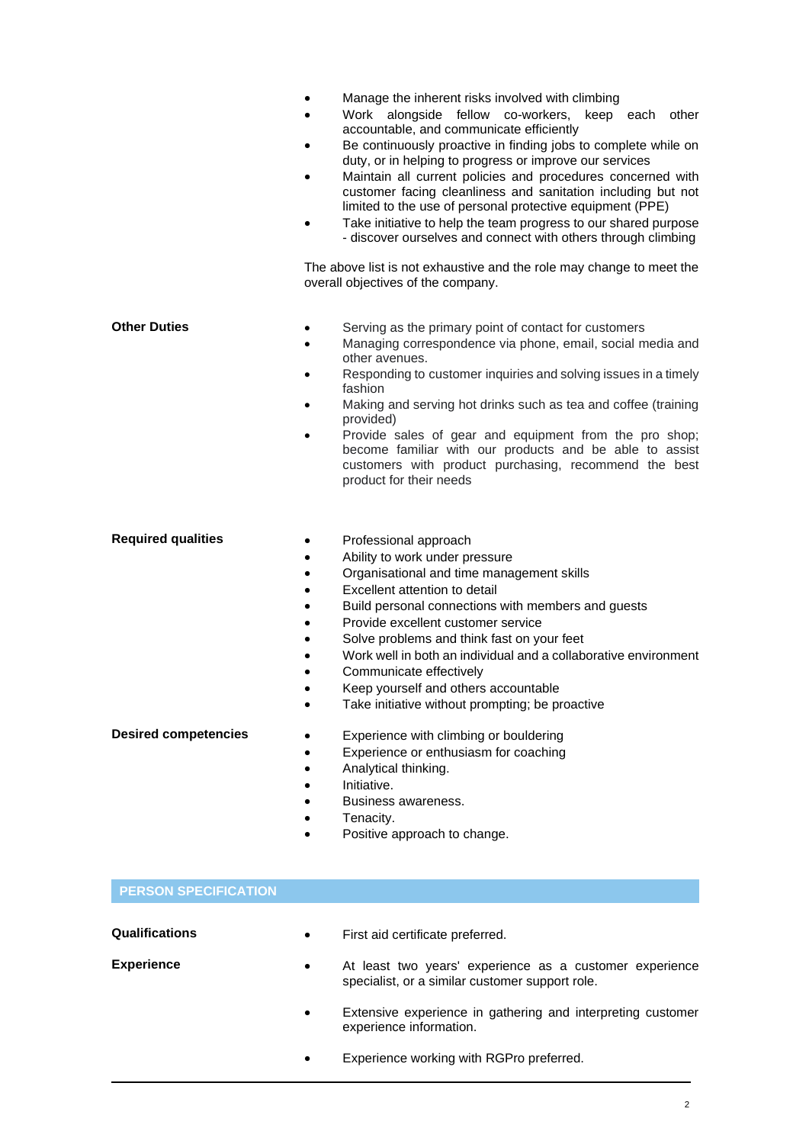|                             | Manage the inherent risks involved with climbing<br>$\bullet$<br>Work alongside fellow co-workers, keep each<br>other<br>$\bullet$<br>accountable, and communicate efficiently<br>Be continuously proactive in finding jobs to complete while on<br>duty, or in helping to progress or improve our services<br>Maintain all current policies and procedures concerned with<br>customer facing cleanliness and sanitation including but not<br>limited to the use of personal protective equipment (PPE)<br>Take initiative to help the team progress to our shared purpose<br>- discover ourselves and connect with others through climbing<br>The above list is not exhaustive and the role may change to meet the<br>overall objectives of the company. |
|-----------------------------|-----------------------------------------------------------------------------------------------------------------------------------------------------------------------------------------------------------------------------------------------------------------------------------------------------------------------------------------------------------------------------------------------------------------------------------------------------------------------------------------------------------------------------------------------------------------------------------------------------------------------------------------------------------------------------------------------------------------------------------------------------------|
| <b>Other Duties</b>         | Serving as the primary point of contact for customers<br>Managing correspondence via phone, email, social media and<br>$\bullet$<br>other avenues.<br>Responding to customer inquiries and solving issues in a timely<br>$\bullet$<br>fashion<br>Making and serving hot drinks such as tea and coffee (training<br>$\bullet$<br>provided)<br>Provide sales of gear and equipment from the pro shop;<br>become familiar with our products and be able to assist<br>customers with product purchasing, recommend the best<br>product for their needs                                                                                                                                                                                                        |
| <b>Required qualities</b>   | Professional approach<br>Ability to work under pressure<br>Organisational and time management skills<br>Excellent attention to detail<br>Build personal connections with members and guests<br>Provide excellent customer service<br>Solve problems and think fast on your feet<br>$\bullet$<br>Work well in both an individual and a collaborative environment<br>$\bullet$<br>Communicate effectively<br>Keep yourself and others accountable<br>Take initiative without prompting; be proactive                                                                                                                                                                                                                                                        |
| <b>Desired competencies</b> | Experience with climbing or bouldering<br>Experience or enthusiasm for coaching<br>Analytical thinking.<br>Initiative.<br>Business awareness.<br>Tenacity.<br>Positive approach to change.                                                                                                                                                                                                                                                                                                                                                                                                                                                                                                                                                                |
| <b>PERSON SPECIFICATION</b> |                                                                                                                                                                                                                                                                                                                                                                                                                                                                                                                                                                                                                                                                                                                                                           |
| Qualifications              | First aid certificate preferred.                                                                                                                                                                                                                                                                                                                                                                                                                                                                                                                                                                                                                                                                                                                          |

**Experience** • At least two years' experience as a customer experience specialist, or a similar customer support role.

> • Extensive experience in gathering and interpreting customer experience information.

• Experience working with RGPro preferred.